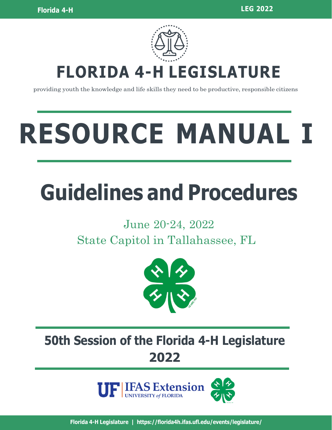

## **FLORIDA 4-H LEGISLATURE**

providing youth the knowledge and life skills they need to be productive, responsible citizens

# **RESOURCE MANUAL I**

## **Guidelines and Procedures**

### June 20-24, 2022 State Capitol in Tallahassee, FL



## **50th Session of the Florida 4-H Legislature 2022**

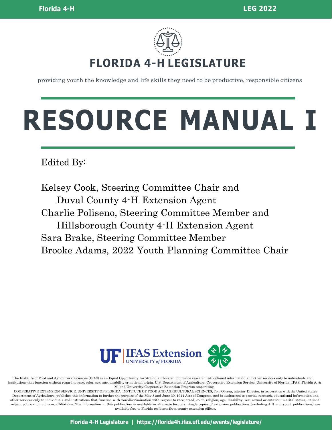

providing youth the knowledge and life skills they need to be productive, responsible citizens

## **RESOURCE MANUAL I**

Edited By:

Kelsey Cook, Steering Committee Chair and Duval County 4-H Extension Agent Charlie Poliseno, Steering Committee Member and Hillsborough County 4-H Extension Agent Sara Brake, Steering Committee Member Brooke Adams, 2022 Youth Planning Committee Chair



The Institute of Food and Agricultural Sciences (IFAS) is an Equal Opportunity Institution authorized to provide research, educational information and other services only to individuals and institutions that function without regard to race, color, sex, age, disability or national origin. U.S. Department of Agriculture, Cooperative Extension Service, University of Florida, IFAS, Florida A. & M. and University Cooperative Extension Program cooperating.

COOPERATIVE EXTENSION SERVICE, UNIVERSITY OF FLORIDA, INSTITUTE OF FOOD AND AGRICULTURAL SCIENCES, Tom Obreza, interim- Director, in cooperation with the United States Department of Agriculture, publishes this information to further the purpose of the May 8 and June 30, 1914 Acts of Congress; and is authorized to provide research, educational information and other services only to individuals and institutions that function with non-discrimination with respect to race, creed, color, religion, age, disability, sex, sexual orientation, marital status, national origin, political opinions or affiliations. The information in this publication is available in alternate formats. Single copies of extension publications (excluding 4-H and youth publications) are available free to Florida residents from county extension offices.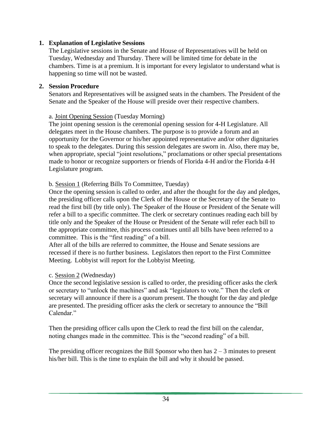#### **1. Explanation of Legislative Sessions**

The Legislative sessions in the Senate and House of Representatives will be held on Tuesday, Wednesday and Thursday. There will be limited time for debate in the chambers. Time is at a premium. It is important for every legislator to understand what is happening so time will not be wasted.

#### **2. Session Procedure**

Senators and Representatives will be assigned seats in the chambers. The President of the Senate and the Speaker of the House will preside over their respective chambers.

#### a. Joint Opening Session (Tuesday Morning)

The joint opening session is the ceremonial opening session for 4-H Legislature. All delegates meet in the House chambers. The purpose is to provide a forum and an opportunity for the Governor or his/her appointed representative and/or other dignitaries to speak to the delegates. During this session delegates are sworn in. Also, there may be, when appropriate, special "joint resolutions," proclamations or other special presentations made to honor or recognize supporters or friends of Florida 4-H and/or the Florida 4-H Legislature program.

#### b. Session 1 (Referring Bills To Committee, Tuesday)

Once the opening session is called to order, and after the thought for the day and pledges, the presiding officer calls upon the Clerk of the House or the Secretary of the Senate to read the first bill (by title only). The Speaker of the House or President of the Senate will refer a bill to a specific committee. The clerk or secretary continues reading each bill by title only and the Speaker of the House or President of the Senate will refer each bill to the appropriate committee, this process continues until all bills have been referred to a committee. This is the "first reading" of a bill.

After all of the bills are referred to committee, the House and Senate sessions are recessed if there is no further business. Legislators then report to the First Committee Meeting. Lobbyist will report for the Lobbyist Meeting.

#### c. Session 2 (Wednesday)

Once the second legislative session is called to order, the presiding officer asks the clerk or secretary to "unlock the machines" and ask "legislators to vote." Then the clerk or secretary will announce if there is a quorum present. The thought for the day and pledge are presented. The presiding officer asks the clerk or secretary to announce the "Bill Calendar."

Then the presiding officer calls upon the Clerk to read the first bill on the calendar, noting changes made in the committee. This is the "second reading" of a bill.

The presiding officer recognizes the Bill Sponsor who then has  $2 - 3$  minutes to present his/her bill. This is the time to explain the bill and why it should be passed.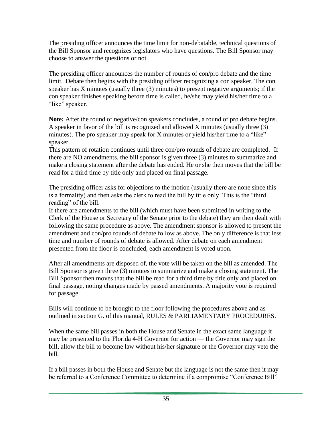The presiding officer announces the time limit for non-debatable, technical questions of the Bill Sponsor and recognizes legislators who have questions. The Bill Sponsor may choose to answer the questions or not.

The presiding officer announces the number of rounds of con/pro debate and the time limit. Debate then begins with the presiding officer recognizing a con speaker. The con speaker has X minutes (usually three (3) minutes) to present negative arguments; if the con speaker finishes speaking before time is called, he/she may yield his/her time to a "like" speaker.

Note: After the round of negative/con speakers concludes, a round of pro debate begins. A speaker in favor of the bill is recognized and allowed X minutes (usually three (3) minutes). The pro speaker may speak for X minutes or yield his/her time to a "like" speaker.

This pattern of rotation continues until three con/pro rounds of debate are completed. If there are NO amendments, the bill sponsor is given three (3) minutes to summarize and make a closing statement after the debate has ended. He or she then moves that the bill be read for a third time by title only and placed on final passage.

The presiding officer asks for objections to the motion (usually there are none since this is a formality) and then asks the clerk to read the bill by title only. This is the "third reading" of the bill.

If there are amendments to the bill (which must have been submitted in writing to the Clerk of the House or Secretary of the Senate prior to the debate) they are then dealt with following the same procedure as above. The amendment sponsor is allowed to present the amendment and con/pro rounds of debate follow as above. The only difference is that less time and number of rounds of debate is allowed. After debate on each amendment presented from the floor is concluded, each amendment is voted upon.

After all amendments are disposed of, the vote will be taken on the bill as amended. The Bill Sponsor is given three (3) minutes to summarize and make a closing statement. The Bill Sponsor then moves that the bill be read for a third time by title only and placed on final passage, noting changes made by passed amendments. A majority vote is required for passage.

Bills will continue to be brought to the floor following the procedures above and as outlined in section G. of this manual, RULES & PARLIAMENTARY PROCEDURES.

When the same bill passes in both the House and Senate in the exact same language it may be presented to the Florida 4-H Governor for action — the Governor may sign the bill, allow the bill to become law without his/her signature or the Governor may veto the bill.

If a bill passes in both the House and Senate but the language is not the same then it may be referred to a Conference Committee to determine if a compromise "Conference Bill"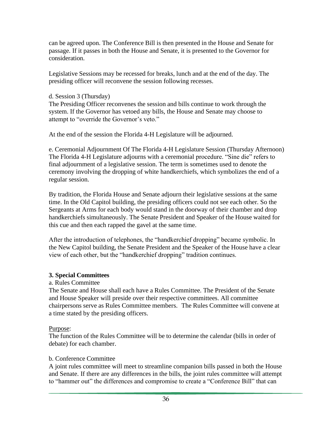can be agreed upon. The Conference Bill is then presented in the House and Senate for passage. If it passes in both the House and Senate, it is presented to the Governor for consideration.

Legislative Sessions may be recessed for breaks, lunch and at the end of the day. The presiding officer will reconvene the session following recesses.

d. Session 3 (Thursday)

The Presiding Officer reconvenes the session and bills continue to work through the system. If the Governor has vetoed any bills, the House and Senate may choose to attempt to "override the Governor's veto."

At the end of the session the Florida 4-H Legislature will be adjourned.

e. Ceremonial Adjournment Of The Florida 4-H Legislature Session (Thursday Afternoon) The Florida 4-H Legislature adjourns with a ceremonial procedure. "Sine die" refers to final adjournment of a legislative session. The term is sometimes used to denote the ceremony involving the dropping of white handkerchiefs, which symbolizes the end of a regular session.

By tradition, the Florida House and Senate adjourn their legislative sessions at the same time. In the Old Capitol building, the presiding officers could not see each other. So the Sergeants at Arms for each body would stand in the doorway of their chamber and drop handkerchiefs simultaneously. The Senate President and Speaker of the House waited for this cue and then each rapped the gavel at the same time.

After the introduction of telephones, the "handkerchief dropping" became symbolic. In the New Capitol building, the Senate President and the Speaker of the House have a clear view of each other, but the "handkerchief dropping" tradition continues.

#### **3. Special Committees**

#### a. Rules Committee

The Senate and House shall each have a Rules Committee. The President of the Senate and House Speaker will preside over their respective committees. All committee chairpersons serve as Rules Committee members. The Rules Committee will convene at a time stated by the presiding officers.

#### Purpose:

The function of the Rules Committee will be to determine the calendar (bills in order of debate) for each chamber.

#### b. Conference Committee

A joint rules committee will meet to streamline companion bills passed in both the House and Senate. If there are any differences in the bills, the joint rules committee will attempt to "hammer out" the differences and compromise to create a "Conference Bill" that can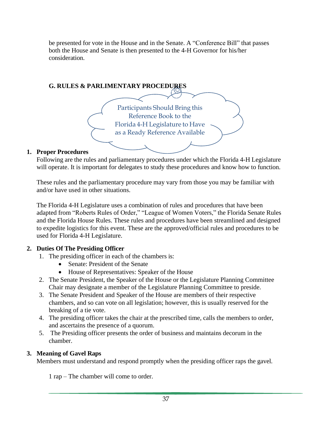be presented for vote in the House and in the Senate. A "Conference Bill" that passes both the House and Senate is then presented to the 4-H Governor for his/her consideration.



#### **1. Proper Procedures**

Following are the rules and parliamentary procedures under which the Florida 4-H Legislature will operate. It is important for delegates to study these procedures and know how to function.

These rules and the parliamentary procedure may vary from those you may be familiar with and/or have used in other situations.

The Florida 4-H Legislature uses a combination of rules and procedures that have been adapted from "Roberts Rules of Order," "League of Women Voters," the Florida Senate Rules and the Florida House Rules. These rules and procedures have been streamlined and designed to expedite logistics for this event. These are the approved/official rules and procedures to be used for Florida 4-H Legislature.

#### **2. Duties Of The Presiding Officer**

- 1. The presiding officer in each of the chambers is:
	- Senate: President of the Senate
	- House of Representatives: Speaker of the House
- 2. The Senate President, the Speaker of the House or the Legislature Planning Committee Chair may designate a member of the Legislature Planning Committee to preside.
- 3. The Senate President and Speaker of the House are members of their respective chambers, and so can vote on all legislation; however, this is usually reserved for the breaking of a tie vote.
- 4. The presiding officer takes the chair at the prescribed time, calls the members to order, and ascertains the presence of a quorum.
- 5. The Presiding officer presents the order of business and maintains decorum in the chamber.

#### **3. Meaning of Gavel Raps**

Members must understand and respond promptly when the presiding officer raps the gavel.

1 rap – The chamber will come to order.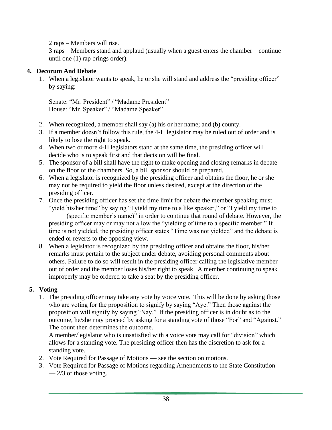2 raps – Members will rise.

3 raps – Members stand and applaud (usually when a guest enters the chamber – continue until one (1) rap brings order).

#### **4. Decorum And Debate**

1. When a legislator wants to speak, he or she will stand and address the "presiding officer" by saying:

Senate: "Mr. President" / "Madame President" House: "Mr. Speaker" / "Madame Speaker"

- 2. When recognized, a member shall say (a) his or her name; and (b) county.
- 3. If a member doesn't follow this rule, the 4-H legislator may be ruled out of order and is likely to lose the right to speak.
- 4. When two or more 4-H legislators stand at the same time, the presiding officer will decide who is to speak first and that decision will be final.
- 5. The sponsor of a bill shall have the right to make opening and closing remarks in debate on the floor of the chambers. So, a bill sponsor should be prepared.
- 6. When a legislator is recognized by the presiding officer and obtains the floor, he or she may not be required to yield the floor unless desired, except at the direction of the presiding officer.
- 7. Once the presiding officer has set the time limit for debate the member speaking must "yield his/her time" by saying "I yield my time to a like speaker," or "I yield my time to (specific member's name)" in order to continue that round of debate. However, the presiding officer may or may not allow the "yielding of time to a specific member." If time is not yielded, the presiding officer states "Time was not yielded" and the debate is ended or reverts to the opposing view.
- 8. When a legislator is recognized by the presiding officer and obtains the floor, his/her remarks must pertain to the subject under debate, avoiding personal comments about others. Failure to do so will result in the presiding officer calling the legislative member out of order and the member loses his/her right to speak. A member continuing to speak improperly may be ordered to take a seat by the presiding officer.

#### **5. Voting**

1. The presiding officer may take any vote by voice vote. This will be done by asking those who are voting for the proposition to signify by saying "Aye." Then those against the proposition will signify by saying "Nay." If the presiding officer is in doubt as to the outcome, he/she may proceed by asking for a standing vote of those "For" and "Against." The count then determines the outcome.

A member/legislator who is unsatisfied with a voice vote may call for "division" which allows for a standing vote. The presiding officer then has the discretion to ask for a standing vote.

- 2. Vote Required for Passage of Motions see the section on motions.
- 3. Vote Required for Passage of Motions regarding Amendments to the State Constitution  $-2/3$  of those voting.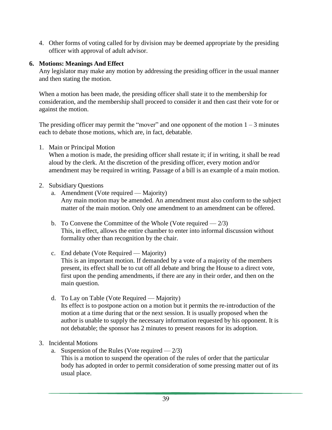4. Other forms of voting called for by division may be deemed appropriate by the presiding officer with approval of adult advisor.

#### **6. Motions: Meanings And Effect**

Any legislator may make any motion by addressing the presiding officer in the usual manner and then stating the motion.

When a motion has been made, the presiding officer shall state it to the membership for consideration, and the membership shall proceed to consider it and then cast their vote for or against the motion.

The presiding officer may permit the "mover" and one opponent of the motion  $1 - 3$  minutes each to debate those motions, which are, in fact, debatable.

1. Main or Principal Motion

When a motion is made, the presiding officer shall restate it; if in writing, it shall be read aloud by the clerk. At the discretion of the presiding officer, every motion and/or amendment may be required in writing. Passage of a bill is an example of a main motion.

- 2. Subsidiary Questions
	- a. Amendment (Vote required Majority) Any main motion may be amended. An amendment must also conform to the subject matter of the main motion. Only one amendment to an amendment can be offered.
	- b. To Convene the Committee of the Whole (Vote required  $-2/3$ ) This, in effect, allows the entire chamber to enter into informal discussion without formality other than recognition by the chair.
	- c. End debate (Vote Required Majority) This is an important motion. If demanded by a vote of a majority of the members present, its effect shall be to cut off all debate and bring the House to a direct vote, first upon the pending amendments, if there are any in their order, and then on the main question.
	- d. To Lay on Table (Vote Required Majority) Its effect is to postpone action on a motion but it permits the re-introduction of the motion at a time during that or the next session. It is usually proposed when the author is unable to supply the necessary information requested by his opponent. It is not debatable; the sponsor has 2 minutes to present reasons for its adoption.
- 3. Incidental Motions
	- a. Suspension of the Rules (Vote required  $-2/3$ ) This is a motion to suspend the operation of the rules of order that the particular body has adopted in order to permit consideration of some pressing matter out of its usual place.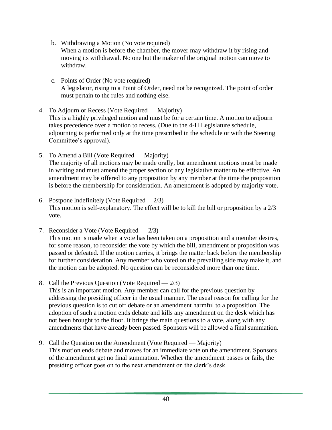- b. Withdrawing a Motion (No vote required) When a motion is before the chamber, the mover may withdraw it by rising and moving its withdrawal. No one but the maker of the original motion can move to withdraw.
- c. Points of Order (No vote required) A legislator, rising to a Point of Order, need not be recognized. The point of order must pertain to the rules and nothing else.
- 4. To Adjourn or Recess (Vote Required Majority) This is a highly privileged motion and must be for a certain time. A motion to adjourn takes precedence over a motion to recess. (Due to the 4-H Legislature schedule, adjourning is performed only at the time prescribed in the schedule or with the Steering Committee's approval).
- 5. To Amend a Bill (Vote Required Majority) The majority of all motions may be made orally, but amendment motions must be made in writing and must amend the proper section of any legislative matter to be effective. An amendment may be offered to any proposition by any member at the time the proposition is before the membership for consideration. An amendment is adopted by majority vote.
- 6. Postpone Indefinitely (Vote Required —2/3) This motion is self-explanatory. The effect will be to kill the bill or proposition by a 2/3 vote.
- 7. Reconsider a Vote (Vote Required 2/3) This motion is made when a vote has been taken on a proposition and a member desires, for some reason, to reconsider the vote by which the bill, amendment or proposition was passed or defeated. If the motion carries, it brings the matter back before the membership for further consideration. Any member who voted on the prevailing side may make it, and the motion can be adopted. No question can be reconsidered more than one time.
- 8. Call the Previous Question (Vote Required  $-2/3$ ) This is an important motion. Any member can call for the previous question by addressing the presiding officer in the usual manner. The usual reason for calling for the previous question is to cut off debate or an amendment harmful to a proposition. The adoption of such a motion ends debate and kills any amendment on the desk which has not been brought to the floor. It brings the main questions to a vote, along with any amendments that have already been passed. Sponsors will be allowed a final summation.
- 9. Call the Question on the Amendment (Vote Required Majority) This motion ends debate and moves for an immediate vote on the amendment. Sponsors of the amendment get no final summation. Whether the amendment passes or fails, the presiding officer goes on to the next amendment on the clerk's desk.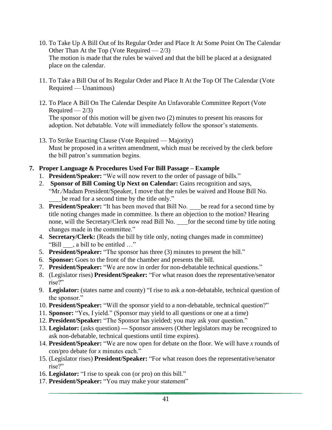- 10. To Take Up A Bill Out of Its Regular Order and Place It At Some Point On The Calendar Other Than At the Top (Vote Required  $-2/3$ ) The motion is made that the rules be waived and that the bill be placed at a designated place on the calendar.
- 11. To Take a Bill Out of Its Regular Order and Place It At the Top Of The Calendar (Vote Required — Unanimous)
- 12. To Place A Bill On The Calendar Despite An Unfavorable Committee Report (Vote Required  $-2/3$ ) The sponsor of this motion will be given two (2) minutes to present his reasons for adoption. Not debatable. Vote will immediately follow the sponsor's statements.
- 13. To Strike Enacting Clause (Vote Required Majority) Must be proposed in a written amendment, which must be received by the clerk before the bill patron's summation begins.

#### **7. Proper Language & Procedures Used For Bill Passage – Example**

- 1. **President/Speaker:** "We will now revert to the order of passage of bills."
- 2. **Sponsor of Bill Coming Up Next on Calendar:** Gains recognition and says, "Mr./Madam President/Speaker, I move that the rules be waived and House Bill No. be read for a second time by the title only."
- 3. **President/Speaker:** "It has been moved that Bill No. be read for a second time by title noting changes made in committee. Is there an objection to the motion? Hearing none, will the Secretary/Clerk now read Bill No. for the second time by title noting changes made in the committee."
- 4. **Secretary/Clerk:** (Reads the bill by title only, noting changes made in committee) "Bill , a bill to be entitled …"
- 5. **President/Speaker:** "The sponsor has three (3) minutes to present the bill."
- 6. **Sponsor:** Goes to the front of the chamber and presents the bill.
- 7. **President/Speaker:** "We are now in order for non-debatable technical questions."
- 8. (Legislator rises) **President/Speaker:** "For what reason does the representative/senator rise?"
- 9. **Legislator:** (states name and county) "I rise to ask a non-debatable, technical question of the sponsor."
- 10. **President/Speaker:** "Will the sponsor yield to a non-debatable, technical question?"
- 11. **Sponsor:** "Yes, I yield." (Sponsor may yield to all questions or one at a time)
- 12. **President/Speaker:** "The Sponsor has yielded; you may ask your question."
- 13. **Legislator:** (asks question) **—** Sponsor answers (Other legislators may be recognized to ask non-debatable, technical questions until time expires).
- 14. **President/Speaker:** "We are now open for debate on the floor. We will have *x* rounds of con/pro debate for *x* minutes each."
- 15. (Legislator rises) **President/Speaker:** "For what reason does the representative/senator rise?"
- 16. **Legislator:** "I rise to speak con (or pro) on this bill."
- 17. **President/Speaker:** "You may make your statement"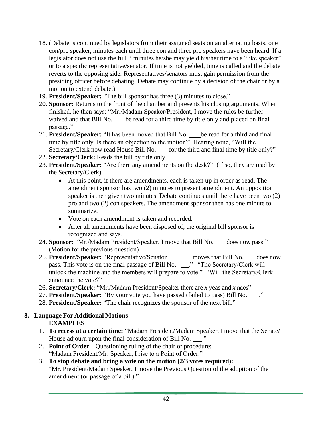- 18. (Debate is continued by legislators from their assigned seats on an alternating basis, one con/pro speaker, minutes each until three con and three pro speakers have been heard. If a legislator does not use the full 3 minutes he/she may yield his/her time to a "like speaker" or to a specific representative/senator. If time is not yielded, time is called and the debate reverts to the opposing side. Representatives/senators must gain permission from the presiding officer before debating. Debate may continue by a decision of the chair or by a motion to extend debate.)
- 19. **President/Speaker:** "The bill sponsor has three (3) minutes to close."
- 20. **Sponsor:** Returns to the front of the chamber and presents his closing arguments. When finished, he then says: "Mr./Madam Speaker/President, I move the rules be further waived and that Bill No. be read for a third time by title only and placed on final passage."
- 21. **President/Speaker:** "It has been moved that Bill No. be read for a third and final time by title only. Is there an objection to the motion?" Hearing none, "Will the Secretary/Clerk now read House Bill No. for the third and final time by title only?"
- 22. **Secretary/Clerk:** Reads the bill by title only.
- 23. **President/Speaker:** "Are there any amendments on the desk?" (If so, they are read by the Secretary/Clerk)
	- At this point, if there are amendments, each is taken up in order as read. The amendment sponsor has two (2) minutes to present amendment. An opposition speaker is then given two minutes. Debate continues until there have been two (2) pro and two (2) con speakers. The amendment sponsor then has one minute to summarize.
	- Vote on each amendment is taken and recorded.
	- After all amendments have been disposed of, the original bill sponsor is recognized and says…
- 24. **Sponsor:** "Mr./Madam President/Speaker, I move that Bill No. does now pass." (Motion for the previous question)
- 25. **President/Speaker:** "Representative/Senator \_\_\_\_\_\_\_ moves that Bill No. \_\_\_ does now pass. This vote is on the final passage of Bill No. \_\_\_." "The Secretary/Clerk will unlock the machine and the members will prepare to vote." "Will the Secretary/Clerk announce the vote?"
- 26. **Secretary/Clerk:** "Mr./Madam President/Speaker there are *x* yeas and *x* naes"
- 27. President/Speaker: "By your vote you have passed (failed to pass) Bill No. \_\_\_."
- 28. **President/Speaker:** "The chair recognizes the sponsor of the next bill."

#### **8. Language For Additional Motions**

#### **EXAMPLES**

- 1. **To recess at a certain time:** "Madam President/Madam Speaker, I move that the Senate/ House adjourn upon the final consideration of Bill No.  $\therefore$
- 2. **Point of Order** Questioning ruling of the chair or procedure: "Madam President/Mr. Speaker, I rise to a Point of Order."
- 3. **To stop debate and bring a vote on the motion (2/3 votes required):** "Mr. President/Madam Speaker, I move the Previous Question of the adoption of the amendment (or passage of a bill)."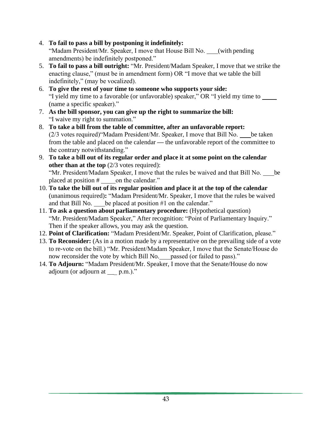- 4. **To fail to pass a bill by postponing it indefinitely:** "Madam President/Mr. Speaker, I move that House Bill No. \_\_\_(with pending amendments) be indefinitely postponed."
- 5. **To fail to pass a bill outright:** "Mr. President/Madam Speaker, I move that we strike the enacting clause," (must be in amendment form) OR "I move that we table the bill indefinitely," (may be vocalized).
- 6. **To give the rest of your time to someone who supports your side:** "I yield my time to a favorable (or unfavorable) speaker," OR "I yield my time to (name a specific speaker)."
- 7. **As the bill sponsor, you can give up the right to summarize the bill:** "I waive my right to summation."
- 8. **To take a bill from the table of committee, after an unfavorable report:** (2/3 votes required)"Madam President/Mr. Speaker, I move that Bill No. be taken from the table and placed on the calendar **—** the unfavorable report of the committee to the contrary notwithstanding."
- 9. **To take a bill out of its regular order and place it at some point on the calendar other than at the top** (2/3 votes required): "Mr. President/Madam Speaker, I move that the rules be waived and that Bill No. be placed at position # \_\_\_\_\_ on the calendar."
- 10. **To take the bill out of its regular position and place it at the top of the calendar**  (unanimous required)**:** "Madam President/Mr. Speaker, I move that the rules be waived and that Bill No. be placed at position #1 on the calendar."
- 11. **To ask a question about parliamentary procedure:** (Hypothetical question) "Mr. President/Madam Speaker," After recognition: "Point of Parliamentary Inquiry." Then if the speaker allows, you may ask the question.
- 12. **Point of Clarification:** "Madam President/Mr. Speaker, Point of Clarification, please."
- 13. **To Reconsider:** (As in a motion made by a representative on the prevailing side of a vote to re-vote on the bill.) "Mr. President/Madam Speaker, I move that the Senate/House do now reconsider the vote by which Bill No. passed (or failed to pass)."
- 14. **To Adjourn:** "Madam President/Mr. Speaker, I move that the Senate/House do now adjourn (or adjourn at  $\qquad p.m.$ )."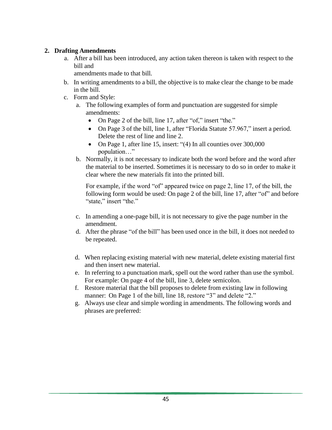#### **2. Drafting Amendments**

a. After a bill has been introduced, any action taken thereon is taken with respect to the bill and

amendments made to that bill.

- b. In writing amendments to a bill, the objective is to make clear the change to be made in the bill.
- c. Form and Style:
	- a. The following examples of form and punctuation are suggested for simple amendments:
		- On Page 2 of the bill, line 17, after "of," insert "the."
		- On Page 3 of the bill, line 1, after "Florida Statute 57.967," insert a period. Delete the rest of line and line 2.
		- On Page 1, after line 15, insert: "(4) In all counties over 300,000 population…"
	- b. Normally, it is not necessary to indicate both the word before and the word after the material to be inserted. Sometimes it is necessary to do so in order to make it clear where the new materials fit into the printed bill.

For example, if the word "of" appeared twice on page 2, line 17, of the bill, the following form would be used: On page 2 of the bill, line 17, after "of" and before "state," insert "the."

- c. In amending a one-page bill, it is not necessary to give the page number in the amendment.
- d. After the phrase "of the bill" has been used once in the bill, it does not needed to be repeated.
- d. When replacing existing material with new material, delete existing material first and then insert new material.
- e. In referring to a punctuation mark, spell out the word rather than use the symbol. For example: On page 4 of the bill, line 3, delete semicolon.
- f. Restore material that the bill proposes to delete from existing law in following manner: On Page 1 of the bill, line 18, restore "3" and delete "2."
- g. Always use clear and simple wording in amendments. The following words and phrases are preferred: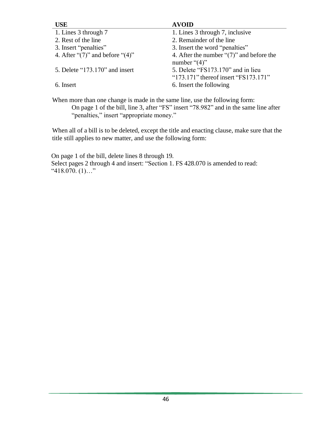| <b>USE</b>                              | <b>AVOID</b>                                                                      |
|-----------------------------------------|-----------------------------------------------------------------------------------|
| 1. Lines 3 through 7                    | 1. Lines 3 through 7, inclusive                                                   |
| 2. Rest of the line                     | 2. Remainder of the line                                                          |
| 3. Insert "penalties"                   | 3. Insert the word "penalties"                                                    |
| 4. After " $(7)$ " and before " $(4)$ " | 4. After the number " $(7)$ " and before the<br>number " $(4)$ "                  |
| 5. Delete " $173.170$ " and insert      | 5. Delete "FS173.170" and in lieu<br>" $173.171$ " thereof insert " $FS173.171$ " |
| 6. Insert                               | 6. Insert the following                                                           |

When more than one change is made in the same line, use the following form: On page 1 of the bill, line 3, after "FS" insert "78.982" and in the same line after "penalties," insert "appropriate money."

When all of a bill is to be deleted, except the title and enacting clause, make sure that the title still applies to new matter, and use the following form:

On page 1 of the bill, delete lines 8 through 19. Select pages 2 through 4 and insert: "Section 1. FS 428.070 is amended to read:  $"418.070$ . (1)..."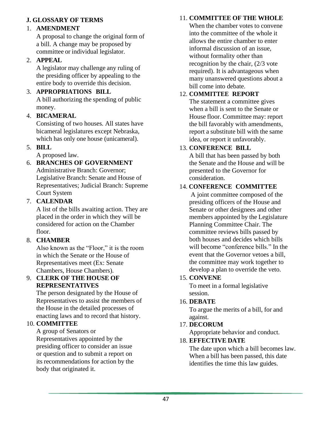#### **J. GLOSSARY OF TERMS**

#### 1. **AMENDMENT**

A proposal to change the original form of a bill. A change may be proposed by committee or individual legislator.

#### 2. **APPEAL**

A legislator may challenge any ruling of the presiding officer by appealing to the entire body to override this decision.

### 3. **APPROPRIATIONS BILL**

A bill authorizing the spending of public money.

#### 4. **BICAMERAL**

Consisting of two houses. All states have bicameral legislatures except Nebraska, which has only one house (unicameral).

#### 5. **BILL**

A proposed law.

#### 6. **BRANCHES OF GOVERNMENT**  Administrative Branch: Governor;

Legislative Branch: Senate and House of Representatives; Judicial Branch: Supreme Court System

#### 7. **CALENDAR**

A list of the bills awaiting action. They are placed in the order in which they will be considered for action on the Chamber floor.

#### 8. **CHAMBER**

Also known as the "Floor," it is the room in which the Senate or the House of Representatives meet (Ex: Senate Chambers, House Chambers).

#### 9. **CLERK OF THE HOUSE OF REPRESENTATIVES**

The person designated by the House of Representatives to assist the members of the House in the detailed processes of enacting laws and to record that history.

#### 10. **COMMITTEE**

A group of Senators or Representatives appointed by the presiding officer to consider an issue or question and to submit a report on its recommendations for action by the body that originated it.

#### 11. **COMMITTEE OF THE WHOLE**

When the chamber votes to convene into the committee of the whole it allows the entire chamber to enter informal discussion of an issue, without formality other than recognition by the chair, (2/3 vote required). It is advantageous when many unanswered questions about a bill come into debate.

#### 12. **COMMITTEE REPORT**

The statement a committee gives when a bill is sent to the Senate or House floor. Committee may: report the bill favorably with amendments, report a substitute bill with the same idea, or report it unfavorably.

#### 13. **CONFERENCE BILL**

A bill that has been passed by both the Senate and the House and will be presented to the Governor for consideration.

#### 14. **CONFERENCE COMMITTEE**

A joint committee composed of the presiding officers of the House and Senate or other designees and other members appointed by the Legislature Planning Committee Chair. The committee reviews bills passed by both houses and decides which bills will become "conference bills." In the event that the Governor vetoes a bill, the committee may work together to develop a plan to override the veto.

#### 15. **CONVENE**

To meet in a formal legislative session.

#### 16. **DEBATE**

To argue the merits of a bill, for and against.

#### 17. **DECORUM**

Appropriate behavior and conduct.

#### 18. **EFFECTIVE DATE**

The date upon which a bill becomes law. When a bill has been passed, this date identifies the time this law guides.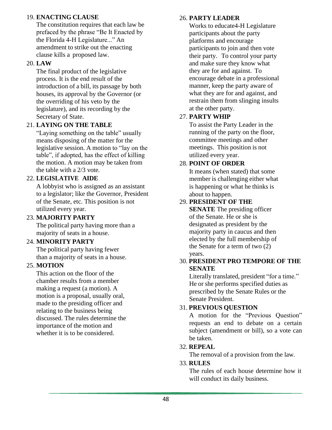#### 19. **ENACTING CLAUSE**

The constitution requires that each law be prefaced by the phrase "Be It Enacted by the Florida 4-H Legislature..." An amendment to strike out the enacting clause kills a proposed law.

#### 20. **LAW**

The final product of the legislative process. It is the end result of the introduction of a bill, its passage by both houses, its approval by the Governor (or the overriding of his veto by the legislature), and its recording by the Secretary of State.

#### 21. **LAYING ON THE TABLE**

"Laying something on the table" usually means disposing of the matter for the legislative session. A motion to "lay on the table", if adopted, has the effect of killing the motion. A motion may be taken from the table with a 2/3 vote.

#### 22. **LEGISLATIVE AIDE**

A lobbyist who is assigned as an assistant to a legislator; like the Governor, President of the Senate, etc. This position is not utilized every year.

#### 23. **MAJORITY PARTY**

The political party having more than a majority of seats in a house.

#### 24. **MINORITY PARTY**

The political party having fewer than a majority of seats in a house.

#### 25. **MOTION**

This action on the floor of the chamber results from a member making a request (a motion). A motion is a proposal, usually oral, made to the presiding officer and relating to the business being discussed. The rules determine the importance of the motion and whether it is to be considered.

#### 26. **PARTY LEADER**

Works to educate4-H Legislature participants about the party platforms and encourage participants to join and then vote their party. To control your party and make sure they know what they are for and against. To encourage debate in a professional manner, keep the party aware of what they are for and against, and restrain them from slinging insults at the other party.

#### 27. **PARTY WHIP**

To assist the Party Leader in the running of the party on the floor, committee meetings and other meetings. This position is not utilized every year.

#### 28. **POINT OF ORDER**

It means (when stated) that some member is challenging either what is happening or what he thinks is about to happen.

#### 29. **PRESIDENT OF THE**

**SENATE** The presiding officer of the Senate. He or she is designated as president by the majority party in caucus and then elected by the full membership of the Senate for a term of two (2) years.

#### 30. **PRESIDENT PRO TEMPORE OF THE SENATE**

Literally translated, president "for a time." He or she performs specified duties as prescribed by the Senate Rules or the Senate President.

#### 31. **PREVIOUS QUESTION**

A motion for the "Previous Question" requests an end to debate on a certain subject (amendment or bill), so a vote can be taken.

#### 32. **REPEAL**

The removal of a provision from the law.

#### 33. **RULES**

The rules of each house determine how it will conduct its daily business.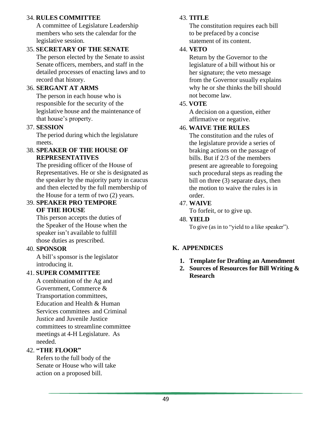#### 34. **RULES COMMITTEE**

A committee of Legislature Leadership members who sets the calendar for the legislative session.

#### 35. **SECRETARY OF THE SENATE**

The person elected by the Senate to assist Senate officers, members, and staff in the detailed processes of enacting laws and to record that history.

#### 36. **SERGANT AT ARMS**

The person in each house who is responsible for the security of the legislative house and the maintenance of that house's property.

#### 37. **SESSION**

The period during which the legislature meets.

#### 38. **SPEAKER OF THE HOUSE OF REPRESENTATIVES**

The presiding officer of the House of Representatives. He or she is designated as the speaker by the majority party in caucus and then elected by the full membership of the House for a term of two (2) years.

#### 39. **SPEAKER PRO TEMPORE OF THE HOUSE**

This person accepts the duties of the Speaker of the House when the speaker isn't available to fulfill those duties as prescribed.

#### 40. **SPONSOR**

A bill's sponsor is the legislator introducing it.

#### 41. **SUPER COMMITTEE**

A combination of the Ag and Government, Commerce & Transportation committees, Education and Health & Human Services committees and Criminal Justice and Juvenile Justice committees to streamline committee meetings at 4-H Legislature. As needed.

#### 42. **"THE FLOOR"**

Refers to the full body of the Senate or House who will take action on a proposed bill.

#### 43. **TITLE**

The constitution requires each bill to be prefaced by a concise statement of its content.

#### 44. **VETO**

Return by the Governor to the legislature of a bill without his or her signature; the veto message from the Governor usually explains why he or she thinks the bill should not become law.

#### 45. **VOTE**

A decision on a question, either affirmative or negative.

#### 46. **WAIVE THE RULES**

The constitution and the rules of the legislature provide a series of braking actions on the passage of bills. But if 2/3 of the members present are agreeable to foregoing such procedural steps as reading the bill on three (3) separate days, then the motion to waive the rules is in order.

#### 47. **WAIVE**

To forfeit, or to give up.

#### 48. **YIELD**

To give (as in to "yield to a like speaker").

#### **K. APPENDICES**

- **1. Template for Drafting an Amendment**
- **2. Sources of Resources for Bill Writing & Research**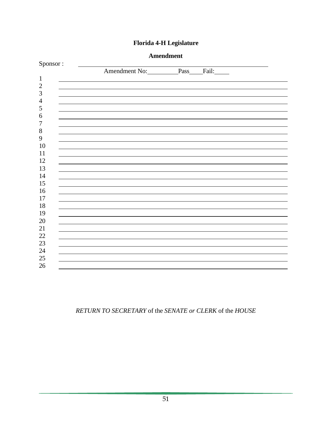|                         | <b>Amendment</b>         |  |  |
|-------------------------|--------------------------|--|--|
| Sponsor:                |                          |  |  |
|                         | Amendment No: Pass Fail: |  |  |
| $\mathbf{1}$            |                          |  |  |
| $\mathbf{2}$            |                          |  |  |
| 3                       |                          |  |  |
| $\overline{4}$          |                          |  |  |
| $\mathfrak{S}$          |                          |  |  |
| 6                       |                          |  |  |
| $\boldsymbol{7}$        |                          |  |  |
| $\,8\,$<br>$\mathbf{9}$ |                          |  |  |
| 10                      |                          |  |  |
| 11                      |                          |  |  |
| 12                      |                          |  |  |
| 13                      |                          |  |  |
| 14                      |                          |  |  |
| 15                      |                          |  |  |
| 16                      |                          |  |  |
| 17                      |                          |  |  |
| 18                      |                          |  |  |
| 19                      |                          |  |  |
| 20                      |                          |  |  |
| 21                      |                          |  |  |
| $22\,$                  |                          |  |  |
| 23                      |                          |  |  |
| 24                      |                          |  |  |
| 25                      |                          |  |  |
| 26                      |                          |  |  |
|                         |                          |  |  |

#### **Florida 4-H Legislature**

*RETURN TO SECRETARY* of the *SENATE or CLERK* of the *HOUSE*